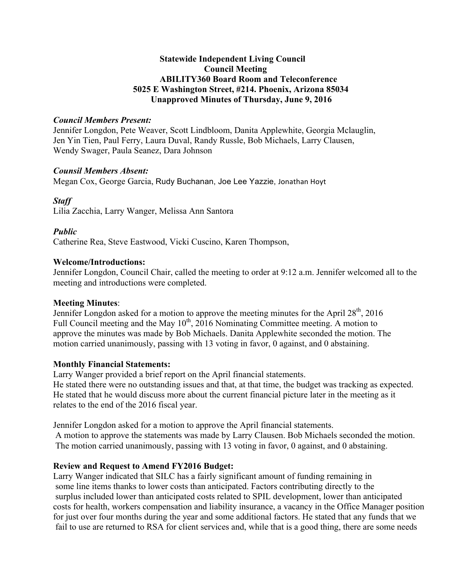# **Statewide Independent Living Council Council Meeting ABILITY360 Board Room and Teleconference 5025 E Washington Street, #214. Phoenix, Arizona 85034 Unapproved Minutes of Thursday, June 9, 2016**

### *Council Members Present:*

Jennifer Longdon, Pete Weaver, Scott Lindbloom, Danita Applewhite, Georgia Mclauglin, Jen Yin Tien, Paul Ferry, Laura Duval, Randy Russle, Bob Michaels, Larry Clausen, Wendy Swager, Paula Seanez, Dara Johnson

## *Counsil Members Absent:*

Megan Cox, George Garcia, Rudy Buchanan, Joe Lee Yazzie, Jonathan Hoyt

# *Staff*

Lilia Zacchia, Larry Wanger, Melissa Ann Santora

# *Public*

Catherine Rea, Steve Eastwood, Vicki Cuscino, Karen Thompson,

# **Welcome/Introductions:**

Jennifer Longdon, Council Chair, called the meeting to order at 9:12 a.m. Jennifer welcomed all to the meeting and introductions were completed.

# **Meeting Minutes**:

Jennifer Longdon asked for a motion to approve the meeting minutes for the April  $28<sup>th</sup>$ , 2016 Full Council meeting and the May  $10^{th}$ ,  $2016$  Nominating Committee meeting. A motion to approve the minutes was made by Bob Michaels. Danita Applewhite seconded the motion. The motion carried unanimously, passing with 13 voting in favor, 0 against, and 0 abstaining.

# **Monthly Financial Statements:**

Larry Wanger provided a brief report on the April financial statements. He stated there were no outstanding issues and that, at that time, the budget was tracking as expected. He stated that he would discuss more about the current financial picture later in the meeting as it relates to the end of the 2016 fiscal year.

Jennifer Longdon asked for a motion to approve the April financial statements.

A motion to approve the statements was made by Larry Clausen. Bob Michaels seconded the motion. The motion carried unanimously, passing with 13 voting in favor, 0 against, and 0 abstaining.

# **Review and Request to Amend FY2016 Budget:**

Larry Wanger indicated that SILC has a fairly significant amount of funding remaining in some line items thanks to lower costs than anticipated. Factors contributing directly to the surplus included lower than anticipated costs related to SPIL development, lower than anticipated costs for health, workers compensation and liability insurance, a vacancy in the Office Manager position for just over four months during the year and some additional factors. He stated that any funds that we fail to use are returned to RSA for client services and, while that is a good thing, there are some needs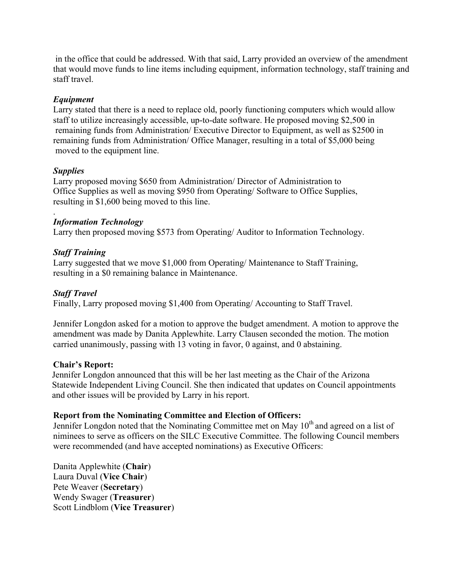in the office that could be addressed. With that said, Larry provided an overview of the amendment that would move funds to line items including equipment, information technology, staff training and staff travel.

# *Equipment*

Larry stated that there is a need to replace old, poorly functioning computers which would allow staff to utilize increasingly accessible, up-to-date software. He proposed moving \$2,500 in remaining funds from Administration/ Executive Director to Equipment, as well as \$2500 in remaining funds from Administration/ Office Manager, resulting in a total of \$5,000 being moved to the equipment line.

# *Supplies*

Larry proposed moving \$650 from Administration/ Director of Administration to Office Supplies as well as moving \$950 from Operating/ Software to Office Supplies, resulting in \$1,600 being moved to this line.

#### . *Information Technology*

Larry then proposed moving \$573 from Operating/ Auditor to Information Technology.

# *Staff Training*

Larry suggested that we move \$1,000 from Operating/ Maintenance to Staff Training, resulting in a \$0 remaining balance in Maintenance.

# *Staff Travel*

Finally, Larry proposed moving \$1,400 from Operating/ Accounting to Staff Travel.

Jennifer Longdon asked for a motion to approve the budget amendment. A motion to approve the amendment was made by Danita Applewhite. Larry Clausen seconded the motion. The motion carried unanimously, passing with 13 voting in favor, 0 against, and 0 abstaining.

# **Chair's Report:**

Jennifer Longdon announced that this will be her last meeting as the Chair of the Arizona Statewide Independent Living Council. She then indicated that updates on Council appointments and other issues will be provided by Larry in his report.

# **Report from the Nominating Committee and Election of Officers:**

Jennifer Longdon noted that the Nominating Committee met on May  $10<sup>th</sup>$  and agreed on a list of niminees to serve as officers on the SILC Executive Committee. The following Council members were recommended (and have accepted nominations) as Executive Officers:

Danita Applewhite (**Chair**) Laura Duval (**Vice Chair**) Pete Weaver (**Secretary**) Wendy Swager (**Treasurer**) Scott Lindblom (**Vice Treasurer**)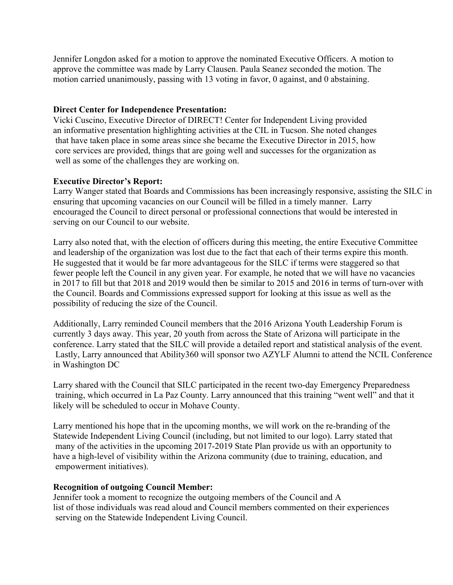Jennifer Longdon asked for a motion to approve the nominated Executive Officers. A motion to approve the committee was made by Larry Clausen. Paula Seanez seconded the motion. The motion carried unanimously, passing with 13 voting in favor, 0 against, and 0 abstaining.

## **Direct Center for Independence Presentation:**

Vicki Cuscino, Executive Director of DIRECT! Center for Independent Living provided an informative presentation highlighting activities at the CIL in Tucson. She noted changes that have taken place in some areas since she became the Executive Director in 2015, how core services are provided, things that are going well and successes for the organization as well as some of the challenges they are working on.

## **Executive Director's Report:**

Larry Wanger stated that Boards and Commissions has been increasingly responsive, assisting the SILC in ensuring that upcoming vacancies on our Council will be filled in a timely manner. Larry encouraged the Council to direct personal or professional connections that would be interested in serving on our Council to our website.

Larry also noted that, with the election of officers during this meeting, the entire Executive Committee and leadership of the organization was lost due to the fact that each of their terms expire this month. He suggested that it would be far more advantageous for the SILC if terms were staggered so that fewer people left the Council in any given year. For example, he noted that we will have no vacancies in 2017 to fill but that 2018 and 2019 would then be similar to 2015 and 2016 in terms of turn-over with the Council. Boards and Commissions expressed support for looking at this issue as well as the possibility of reducing the size of the Council.

Additionally, Larry reminded Council members that the 2016 Arizona Youth Leadership Forum is currently 3 days away. This year, 20 youth from across the State of Arizona will participate in the conference. Larry stated that the SILC will provide a detailed report and statistical analysis of the event. Lastly, Larry announced that Ability360 will sponsor two AZYLF Alumni to attend the NCIL Conference in Washington DC

Larry shared with the Council that SILC participated in the recent two-day Emergency Preparedness training, which occurred in La Paz County. Larry announced that this training "went well" and that it likely will be scheduled to occur in Mohave County.

Larry mentioned his hope that in the upcoming months, we will work on the re-branding of the Statewide Independent Living Council (including, but not limited to our logo). Larry stated that many of the activities in the upcoming 2017-2019 State Plan provide us with an opportunity to have a high-level of visibility within the Arizona community (due to training, education, and empowerment initiatives).

#### **Recognition of outgoing Council Member:**

Jennifer took a moment to recognize the outgoing members of the Council and A list of those individuals was read aloud and Council members commented on their experiences serving on the Statewide Independent Living Council.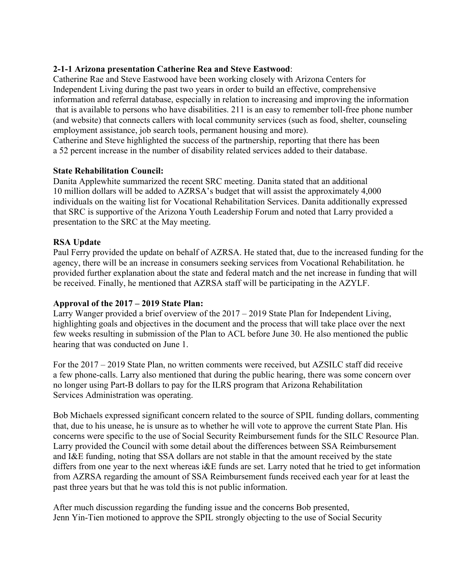# **2-1-1 Arizona presentation Catherine Rea and Steve Eastwood**:

Catherine Rae and Steve Eastwood have been working closely with Arizona Centers for Independent Living during the past two years in order to build an effective, comprehensive information and referral database, especially in relation to increasing and improving the information that is available to persons who have disabilities. 211 is an easy to remember toll-free phone number (and website) that connects callers with local community services (such as food, shelter, counseling employment assistance, job search tools, permanent housing and more).

Catherine and Steve highlighted the success of the partnership, reporting that there has been a 52 percent increase in the number of disability related services added to their database.

# **State Rehabilitation Council:**

Danita Applewhite summarized the recent SRC meeting. Danita stated that an additional 10 million dollars will be added to AZRSA's budget that will assist the approximately 4,000 individuals on the waiting list for Vocational Rehabilitation Services. Danita additionally expressed that SRC is supportive of the Arizona Youth Leadership Forum and noted that Larry provided a presentation to the SRC at the May meeting.

# **RSA Update**

Paul Ferry provided the update on behalf of AZRSA. He stated that, due to the increased funding for the agency, there will be an increase in consumers seeking services from Vocational Rehabilitation. he provided further explanation about the state and federal match and the net increase in funding that will be received. Finally, he mentioned that AZRSA staff will be participating in the AZYLF.

# **Approval of the 2017 – 2019 State Plan:**

Larry Wanger provided a brief overview of the 2017 – 2019 State Plan for Independent Living, highlighting goals and objectives in the document and the process that will take place over the next few weeks resulting in submission of the Plan to ACL before June 30. He also mentioned the public hearing that was conducted on June 1.

For the 2017 – 2019 State Plan, no written comments were received, but AZSILC staff did receive a few phone-calls. Larry also mentioned that during the public hearing, there was some concern over no longer using Part-B dollars to pay for the ILRS program that Arizona Rehabilitation Services Administration was operating.

Bob Michaels expressed significant concern related to the source of SPIL funding dollars, commenting that, due to his unease, he is unsure as to whether he will vote to approve the current State Plan. His concerns were specific to the use of Social Security Reimbursement funds for the SILC Resource Plan. Larry provided the Council with some detail about the differences between SSA Reimbursement and I&E funding, noting that SSA dollars are not stable in that the amount received by the state differs from one year to the next whereas i&E funds are set. Larry noted that he tried to get information from AZRSA regarding the amount of SSA Reimbursement funds received each year for at least the past three years but that he was told this is not public information.

After much discussion regarding the funding issue and the concerns Bob presented, Jenn Yin-Tien motioned to approve the SPIL strongly objecting to the use of Social Security